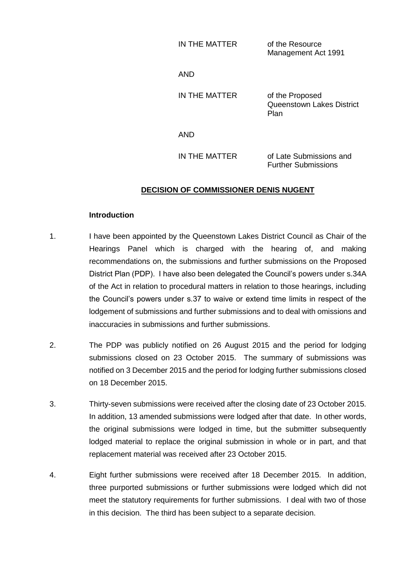| IN THE MATTER | of the Resource     |  |
|---------------|---------------------|--|
|               | Management Act 1991 |  |

AND

IN THE MATTER of the Proposed Queenstown Lakes District Plan

AND

IN THE MATTER of Late Submissions and Further Submissions

## **DECISION OF COMMISSIONER DENIS NUGENT**

#### **Introduction**

- 1. I have been appointed by the Queenstown Lakes District Council as Chair of the Hearings Panel which is charged with the hearing of, and making recommendations on, the submissions and further submissions on the Proposed District Plan (PDP). I have also been delegated the Council's powers under s.34A of the Act in relation to procedural matters in relation to those hearings, including the Council's powers under s.37 to waive or extend time limits in respect of the lodgement of submissions and further submissions and to deal with omissions and inaccuracies in submissions and further submissions.
- 2. The PDP was publicly notified on 26 August 2015 and the period for lodging submissions closed on 23 October 2015. The summary of submissions was notified on 3 December 2015 and the period for lodging further submissions closed on 18 December 2015.
- 3. Thirty-seven submissions were received after the closing date of 23 October 2015. In addition, 13 amended submissions were lodged after that date. In other words, the original submissions were lodged in time, but the submitter subsequently lodged material to replace the original submission in whole or in part, and that replacement material was received after 23 October 2015.
- 4. Eight further submissions were received after 18 December 2015. In addition, three purported submissions or further submissions were lodged which did not meet the statutory requirements for further submissions. I deal with two of those in this decision. The third has been subject to a separate decision.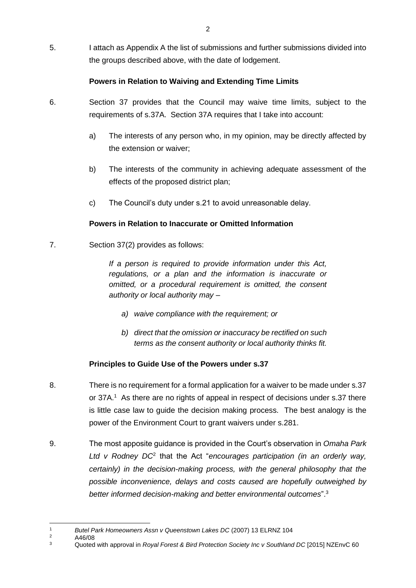5. I attach as Appendix A the list of submissions and further submissions divided into the groups described above, with the date of lodgement.

## **Powers in Relation to Waiving and Extending Time Limits**

- 6. Section 37 provides that the Council may waive time limits, subject to the requirements of s.37A. Section 37A requires that I take into account:
	- a) The interests of any person who, in my opinion, may be directly affected by the extension or waiver;
	- b) The interests of the community in achieving adequate assessment of the effects of the proposed district plan;
	- c) The Council's duty under s.21 to avoid unreasonable delay.

## **Powers in Relation to Inaccurate or Omitted Information**

7. Section 37(2) provides as follows:

*If a person is required to provide information under this Act, regulations, or a plan and the information is inaccurate or omitted, or a procedural requirement is omitted, the consent authority or local authority may –*

- *a) waive compliance with the requirement; or*
- *b) direct that the omission or inaccuracy be rectified on such terms as the consent authority or local authority thinks fit.*

## **Principles to Guide Use of the Powers under s.37**

- 8. There is no requirement for a formal application for a waiver to be made under s.37 or 37A.<sup>1</sup> As there are no rights of appeal in respect of decisions under s.37 there is little case law to guide the decision making process. The best analogy is the power of the Environment Court to grant waivers under s.281.
- 9. The most apposite guidance is provided in the Court's observation in *Omaha Park*  Ltd v Rodney DC<sup>2</sup> that the Act "*encourages participation (in an orderly way, certainly) in the decision-making process, with the general philosophy that the possible inconvenience, delays and costs caused are hopefully outweighed by better informed decision-making and better environmental outcomes*".<sup>3</sup>

 $\frac{2}{3}$  A46/08

 $\overline{a}$ <sup>1</sup> *Butel Park Homeowners Assn v Queenstown Lakes DC* (2007) 13 ELRNZ 104

<sup>3</sup> Quoted with approval in *Royal Forest & Bird Protection Society Inc v Southland DC* [2015] NZEnvC 60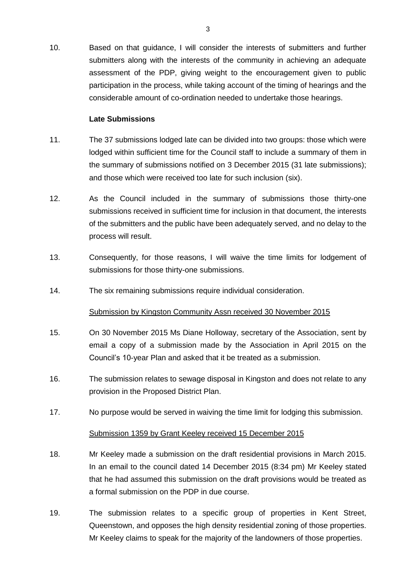10. Based on that guidance, I will consider the interests of submitters and further submitters along with the interests of the community in achieving an adequate assessment of the PDP, giving weight to the encouragement given to public participation in the process, while taking account of the timing of hearings and the considerable amount of co-ordination needed to undertake those hearings.

#### **Late Submissions**

- 11. The 37 submissions lodged late can be divided into two groups: those which were lodged within sufficient time for the Council staff to include a summary of them in the summary of submissions notified on 3 December 2015 (31 late submissions); and those which were received too late for such inclusion (six).
- 12. As the Council included in the summary of submissions those thirty-one submissions received in sufficient time for inclusion in that document, the interests of the submitters and the public have been adequately served, and no delay to the process will result.
- 13. Consequently, for those reasons, I will waive the time limits for lodgement of submissions for those thirty-one submissions.
- 14. The six remaining submissions require individual consideration.

## Submission by Kingston Community Assn received 30 November 2015

- 15. On 30 November 2015 Ms Diane Holloway, secretary of the Association, sent by email a copy of a submission made by the Association in April 2015 on the Council's 10-year Plan and asked that it be treated as a submission.
- 16. The submission relates to sewage disposal in Kingston and does not relate to any provision in the Proposed District Plan.
- 17. No purpose would be served in waiving the time limit for lodging this submission.

#### Submission 1359 by Grant Keeley received 15 December 2015

- 18. Mr Keeley made a submission on the draft residential provisions in March 2015. In an email to the council dated 14 December 2015 (8:34 pm) Mr Keeley stated that he had assumed this submission on the draft provisions would be treated as a formal submission on the PDP in due course.
- 19. The submission relates to a specific group of properties in Kent Street, Queenstown, and opposes the high density residential zoning of those properties. Mr Keeley claims to speak for the majority of the landowners of those properties.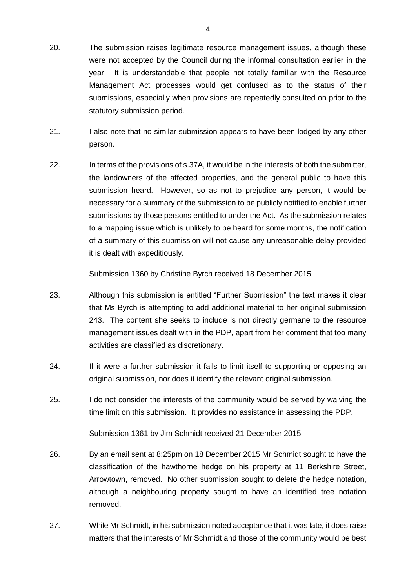- 20. The submission raises legitimate resource management issues, although these were not accepted by the Council during the informal consultation earlier in the year. It is understandable that people not totally familiar with the Resource Management Act processes would get confused as to the status of their submissions, especially when provisions are repeatedly consulted on prior to the statutory submission period.
- 21. I also note that no similar submission appears to have been lodged by any other person.
- 22. In terms of the provisions of s.37A, it would be in the interests of both the submitter, the landowners of the affected properties, and the general public to have this submission heard. However, so as not to prejudice any person, it would be necessary for a summary of the submission to be publicly notified to enable further submissions by those persons entitled to under the Act. As the submission relates to a mapping issue which is unlikely to be heard for some months, the notification of a summary of this submission will not cause any unreasonable delay provided it is dealt with expeditiously.

#### Submission 1360 by Christine Byrch received 18 December 2015

- 23. Although this submission is entitled "Further Submission" the text makes it clear that Ms Byrch is attempting to add additional material to her original submission 243. The content she seeks to include is not directly germane to the resource management issues dealt with in the PDP, apart from her comment that too many activities are classified as discretionary.
- 24. If it were a further submission it fails to limit itself to supporting or opposing an original submission, nor does it identify the relevant original submission.
- 25. I do not consider the interests of the community would be served by waiving the time limit on this submission. It provides no assistance in assessing the PDP.

#### Submission 1361 by Jim Schmidt received 21 December 2015

- 26. By an email sent at 8:25pm on 18 December 2015 Mr Schmidt sought to have the classification of the hawthorne hedge on his property at 11 Berkshire Street, Arrowtown, removed. No other submission sought to delete the hedge notation, although a neighbouring property sought to have an identified tree notation removed.
- 27. While Mr Schmidt, in his submission noted acceptance that it was late, it does raise matters that the interests of Mr Schmidt and those of the community would be best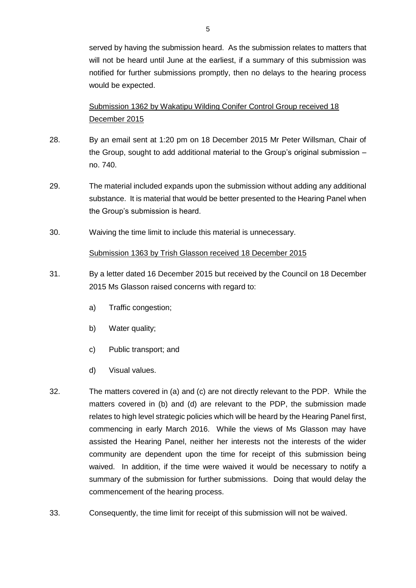served by having the submission heard. As the submission relates to matters that will not be heard until June at the earliest, if a summary of this submission was notified for further submissions promptly, then no delays to the hearing process would be expected.

# Submission 1362 by Wakatipu Wilding Conifer Control Group received 18 December 2015

- 28. By an email sent at 1:20 pm on 18 December 2015 Mr Peter Willsman, Chair of the Group, sought to add additional material to the Group's original submission – no. 740.
- 29. The material included expands upon the submission without adding any additional substance. It is material that would be better presented to the Hearing Panel when the Group's submission is heard.
- 30. Waiving the time limit to include this material is unnecessary.

### Submission 1363 by Trish Glasson received 18 December 2015

- 31. By a letter dated 16 December 2015 but received by the Council on 18 December 2015 Ms Glasson raised concerns with regard to:
	- a) Traffic congestion;
	- b) Water quality;
	- c) Public transport; and
	- d) Visual values.
- 32. The matters covered in (a) and (c) are not directly relevant to the PDP. While the matters covered in (b) and (d) are relevant to the PDP, the submission made relates to high level strategic policies which will be heard by the Hearing Panel first, commencing in early March 2016. While the views of Ms Glasson may have assisted the Hearing Panel, neither her interests not the interests of the wider community are dependent upon the time for receipt of this submission being waived. In addition, if the time were waived it would be necessary to notify a summary of the submission for further submissions. Doing that would delay the commencement of the hearing process.
- 33. Consequently, the time limit for receipt of this submission will not be waived.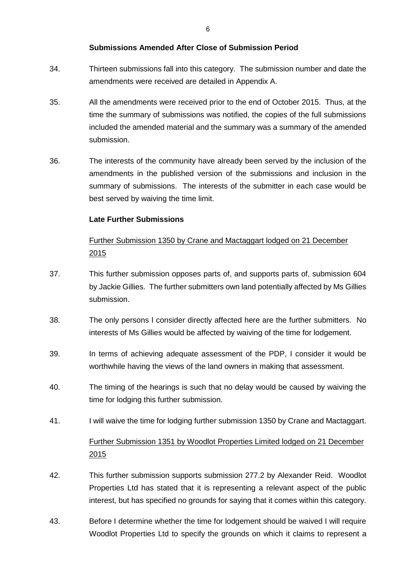### **Submissions Amended After Close of Submission Period**

- 34. Thirteen submissions fall into this category. The submission number and date the amendments were received are detailed in Appendix A.
- 35. All the amendments were received prior to the end of October 2015. Thus, at the time the summary of submissions was notified, the copies of the full submissions included the amended material and the summary was a summary of the amended submission.
- 36. The interests of the community have already been served by the inclusion of the amendments in the published version of the submissions and inclusion in the summary of submissions. The interests of the submitter in each case would be best served by waiving the time limit.

## **Late Further Submissions**

# Further Submission 1350 by Crane and Mactaggart lodged on 21 December 2015

- 37. This further submission opposes parts of, and supports parts of, submission 604 by Jackie Gillies. The further submitters own land potentially affected by Ms Gillies submission.
- 38. The only persons I consider directly affected here are the further submitters. No interests of Ms Gillies would be affected by waiving of the time for lodgement.
- 39. In terms of achieving adequate assessment of the PDP, I consider it would be worthwhile having the views of the land owners in making that assessment.
- 40. The timing of the hearings is such that no delay would be caused by waiving the time for lodging this further submission.
- 41. I will waive the time for lodging further submission 1350 by Crane and Mactaggart.

# Further Submission 1351 by Woodlot Properties Limited lodged on 21 December 2015

- 42. This further submission supports submission 277.2 by Alexander Reid. Woodlot Properties Ltd has stated that it is representing a relevant aspect of the public interest, but has specified no grounds for saying that it comes within this category.
- 43. Before I determine whether the time for lodgement should be waived I will require Woodlot Properties Ltd to specify the grounds on which it claims to represent a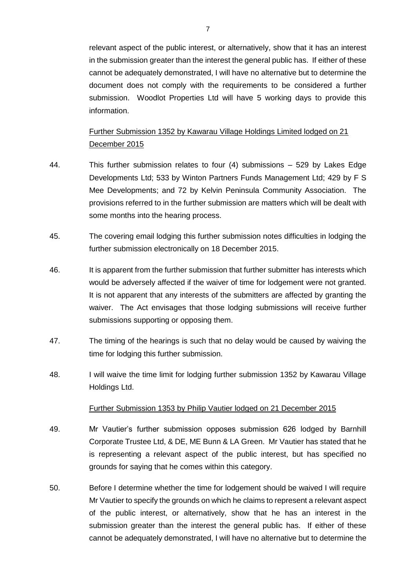relevant aspect of the public interest, or alternatively, show that it has an interest in the submission greater than the interest the general public has. If either of these cannot be adequately demonstrated, I will have no alternative but to determine the document does not comply with the requirements to be considered a further submission. Woodlot Properties Ltd will have 5 working days to provide this information.

Further Submission 1352 by Kawarau Village Holdings Limited lodged on 21 December 2015

- 44. This further submission relates to four (4) submissions 529 by Lakes Edge Developments Ltd; 533 by Winton Partners Funds Management Ltd; 429 by F S Mee Developments; and 72 by Kelvin Peninsula Community Association. The provisions referred to in the further submission are matters which will be dealt with some months into the hearing process.
- 45. The covering email lodging this further submission notes difficulties in lodging the further submission electronically on 18 December 2015.
- 46. It is apparent from the further submission that further submitter has interests which would be adversely affected if the waiver of time for lodgement were not granted. It is not apparent that any interests of the submitters are affected by granting the waiver. The Act envisages that those lodging submissions will receive further submissions supporting or opposing them.
- 47. The timing of the hearings is such that no delay would be caused by waiving the time for lodging this further submission.
- 48. I will waive the time limit for lodging further submission 1352 by Kawarau Village Holdings Ltd.

#### Further Submission 1353 by Philip Vautier lodged on 21 December 2015

- 49. Mr Vautier's further submission opposes submission 626 lodged by Barnhill Corporate Trustee Ltd, & DE, ME Bunn & LA Green. Mr Vautier has stated that he is representing a relevant aspect of the public interest, but has specified no grounds for saying that he comes within this category.
- 50. Before I determine whether the time for lodgement should be waived I will require Mr Vautier to specify the grounds on which he claims to represent a relevant aspect of the public interest, or alternatively, show that he has an interest in the submission greater than the interest the general public has. If either of these cannot be adequately demonstrated, I will have no alternative but to determine the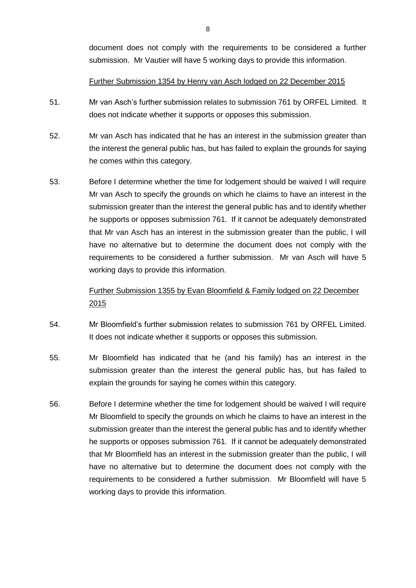document does not comply with the requirements to be considered a further submission. Mr Vautier will have 5 working days to provide this information.

#### Further Submission 1354 by Henry van Asch lodged on 22 December 2015

- 51. Mr van Asch's further submission relates to submission 761 by ORFEL Limited. It does not indicate whether it supports or opposes this submission.
- 52. Mr van Asch has indicated that he has an interest in the submission greater than the interest the general public has, but has failed to explain the grounds for saying he comes within this category.
- 53. Before I determine whether the time for lodgement should be waived I will require Mr van Asch to specify the grounds on which he claims to have an interest in the submission greater than the interest the general public has and to identify whether he supports or opposes submission 761. If it cannot be adequately demonstrated that Mr van Asch has an interest in the submission greater than the public, I will have no alternative but to determine the document does not comply with the requirements to be considered a further submission. Mr van Asch will have 5 working days to provide this information.

# Further Submission 1355 by Evan Bloomfield & Family lodged on 22 December 2015

- 54. Mr Bloomfield's further submission relates to submission 761 by ORFEL Limited. It does not indicate whether it supports or opposes this submission.
- 55. Mr Bloomfield has indicated that he (and his family) has an interest in the submission greater than the interest the general public has, but has failed to explain the grounds for saying he comes within this category.
- 56. Before I determine whether the time for lodgement should be waived I will require Mr Bloomfield to specify the grounds on which he claims to have an interest in the submission greater than the interest the general public has and to identify whether he supports or opposes submission 761. If it cannot be adequately demonstrated that Mr Bloomfield has an interest in the submission greater than the public, I will have no alternative but to determine the document does not comply with the requirements to be considered a further submission. Mr Bloomfield will have 5 working days to provide this information.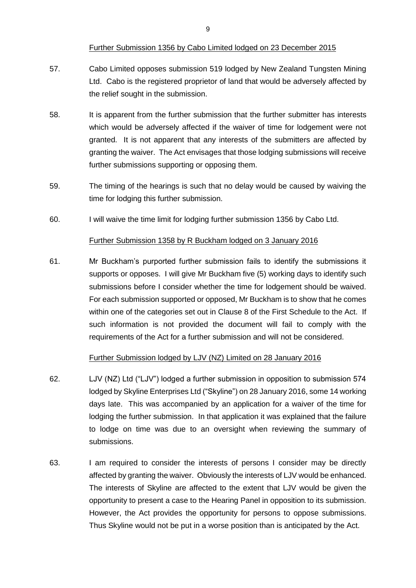#### Further Submission 1356 by Cabo Limited lodged on 23 December 2015

- 57. Cabo Limited opposes submission 519 lodged by New Zealand Tungsten Mining Ltd. Cabo is the registered proprietor of land that would be adversely affected by the relief sought in the submission.
- 58. It is apparent from the further submission that the further submitter has interests which would be adversely affected if the waiver of time for lodgement were not granted. It is not apparent that any interests of the submitters are affected by granting the waiver. The Act envisages that those lodging submissions will receive further submissions supporting or opposing them.
- 59. The timing of the hearings is such that no delay would be caused by waiving the time for lodging this further submission.
- 60. I will waive the time limit for lodging further submission 1356 by Cabo Ltd.

#### Further Submission 1358 by R Buckham lodged on 3 January 2016

61. Mr Buckham's purported further submission fails to identify the submissions it supports or opposes. I will give Mr Buckham five (5) working days to identify such submissions before I consider whether the time for lodgement should be waived. For each submission supported or opposed, Mr Buckham is to show that he comes within one of the categories set out in Clause 8 of the First Schedule to the Act. If such information is not provided the document will fail to comply with the requirements of the Act for a further submission and will not be considered.

#### Further Submission lodged by LJV (NZ) Limited on 28 January 2016

- 62. LJV (NZ) Ltd ("LJV") lodged a further submission in opposition to submission 574 lodged by Skyline Enterprises Ltd ("Skyline") on 28 January 2016, some 14 working days late. This was accompanied by an application for a waiver of the time for lodging the further submission. In that application it was explained that the failure to lodge on time was due to an oversight when reviewing the summary of submissions.
- 63. I am required to consider the interests of persons I consider may be directly affected by granting the waiver. Obviously the interests of LJV would be enhanced. The interests of Skyline are affected to the extent that LJV would be given the opportunity to present a case to the Hearing Panel in opposition to its submission. However, the Act provides the opportunity for persons to oppose submissions. Thus Skyline would not be put in a worse position than is anticipated by the Act.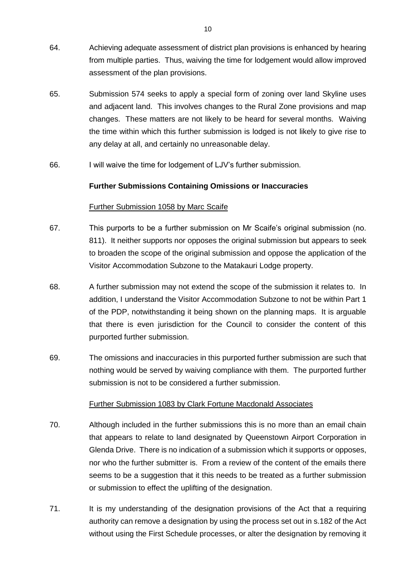- 64. Achieving adequate assessment of district plan provisions is enhanced by hearing from multiple parties. Thus, waiving the time for lodgement would allow improved assessment of the plan provisions.
- 65. Submission 574 seeks to apply a special form of zoning over land Skyline uses and adjacent land. This involves changes to the Rural Zone provisions and map changes. These matters are not likely to be heard for several months. Waiving the time within which this further submission is lodged is not likely to give rise to any delay at all, and certainly no unreasonable delay.
- 66. I will waive the time for lodgement of LJV's further submission.

#### **Further Submissions Containing Omissions or Inaccuracies**

#### Further Submission 1058 by Marc Scaife

- 67. This purports to be a further submission on Mr Scaife's original submission (no. 811). It neither supports nor opposes the original submission but appears to seek to broaden the scope of the original submission and oppose the application of the Visitor Accommodation Subzone to the Matakauri Lodge property.
- 68. A further submission may not extend the scope of the submission it relates to. In addition, I understand the Visitor Accommodation Subzone to not be within Part 1 of the PDP, notwithstanding it being shown on the planning maps. It is arguable that there is even jurisdiction for the Council to consider the content of this purported further submission.
- 69. The omissions and inaccuracies in this purported further submission are such that nothing would be served by waiving compliance with them. The purported further submission is not to be considered a further submission.

#### Further Submission 1083 by Clark Fortune Macdonald Associates

- 70. Although included in the further submissions this is no more than an email chain that appears to relate to land designated by Queenstown Airport Corporation in Glenda Drive. There is no indication of a submission which it supports or opposes, nor who the further submitter is. From a review of the content of the emails there seems to be a suggestion that it this needs to be treated as a further submission or submission to effect the uplifting of the designation.
- 71. It is my understanding of the designation provisions of the Act that a requiring authority can remove a designation by using the process set out in s.182 of the Act without using the First Schedule processes, or alter the designation by removing it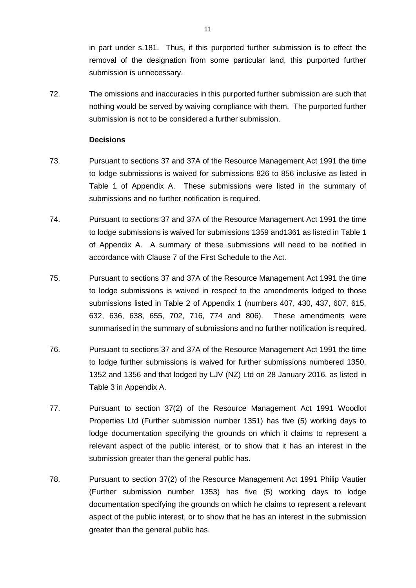in part under s.181. Thus, if this purported further submission is to effect the removal of the designation from some particular land, this purported further submission is unnecessary.

72. The omissions and inaccuracies in this purported further submission are such that nothing would be served by waiving compliance with them. The purported further submission is not to be considered a further submission.

#### **Decisions**

- 73. Pursuant to sections 37 and 37A of the Resource Management Act 1991 the time to lodge submissions is waived for submissions 826 to 856 inclusive as listed in Table 1 of Appendix A. These submissions were listed in the summary of submissions and no further notification is required.
- 74. Pursuant to sections 37 and 37A of the Resource Management Act 1991 the time to lodge submissions is waived for submissions 1359 and1361 as listed in Table 1 of Appendix A. A summary of these submissions will need to be notified in accordance with Clause 7 of the First Schedule to the Act.
- 75. Pursuant to sections 37 and 37A of the Resource Management Act 1991 the time to lodge submissions is waived in respect to the amendments lodged to those submissions listed in Table 2 of Appendix 1 (numbers 407, 430, 437, 607, 615, 632, 636, 638, 655, 702, 716, 774 and 806). These amendments were summarised in the summary of submissions and no further notification is required.
- 76. Pursuant to sections 37 and 37A of the Resource Management Act 1991 the time to lodge further submissions is waived for further submissions numbered 1350, 1352 and 1356 and that lodged by LJV (NZ) Ltd on 28 January 2016, as listed in Table 3 in Appendix A.
- 77. Pursuant to section 37(2) of the Resource Management Act 1991 Woodlot Properties Ltd (Further submission number 1351) has five (5) working days to lodge documentation specifying the grounds on which it claims to represent a relevant aspect of the public interest, or to show that it has an interest in the submission greater than the general public has.
- 78. Pursuant to section 37(2) of the Resource Management Act 1991 Philip Vautier (Further submission number 1353) has five (5) working days to lodge documentation specifying the grounds on which he claims to represent a relevant aspect of the public interest, or to show that he has an interest in the submission greater than the general public has.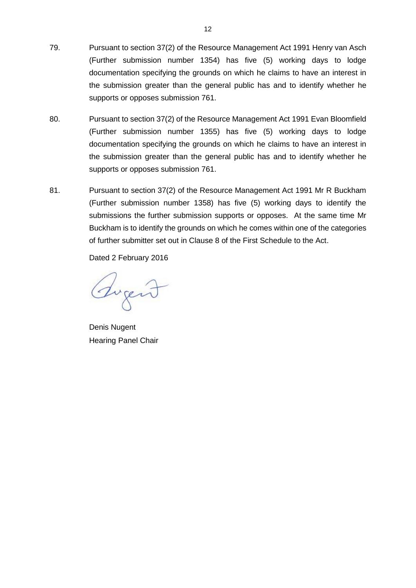- 79. Pursuant to section 37(2) of the Resource Management Act 1991 Henry van Asch (Further submission number 1354) has five (5) working days to lodge documentation specifying the grounds on which he claims to have an interest in the submission greater than the general public has and to identify whether he supports or opposes submission 761.
- 80. Pursuant to section 37(2) of the Resource Management Act 1991 Evan Bloomfield (Further submission number 1355) has five (5) working days to lodge documentation specifying the grounds on which he claims to have an interest in the submission greater than the general public has and to identify whether he supports or opposes submission 761.
- 81. Pursuant to section 37(2) of the Resource Management Act 1991 Mr R Buckham (Further submission number 1358) has five (5) working days to identify the submissions the further submission supports or opposes. At the same time Mr Buckham is to identify the grounds on which he comes within one of the categories of further submitter set out in Clause 8 of the First Schedule to the Act.

Dated 2 February 2016

Sugent

Denis Nugent Hearing Panel Chair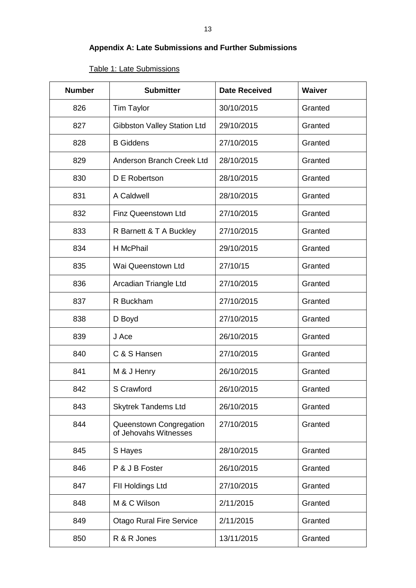# **Appendix A: Late Submissions and Further Submissions**

| <b>Number</b> | <b>Submitter</b>                                 | <b>Date Received</b> | <b>Waiver</b> |
|---------------|--------------------------------------------------|----------------------|---------------|
| 826           | <b>Tim Taylor</b>                                | 30/10/2015           | Granted       |
| 827           | <b>Gibbston Valley Station Ltd</b>               | 29/10/2015           | Granted       |
| 828           | <b>B</b> Giddens                                 | 27/10/2015           | Granted       |
| 829           | Anderson Branch Creek Ltd                        | 28/10/2015           | Granted       |
| 830           | D E Robertson                                    | 28/10/2015           | Granted       |
| 831           | A Caldwell                                       | 28/10/2015           | Granted       |
| 832           | Finz Queenstown Ltd                              | 27/10/2015           | Granted       |
| 833           | R Barnett & T A Buckley                          | 27/10/2015           | Granted       |
| 834           | H McPhail                                        | 29/10/2015           | Granted       |
| 835           | Wai Queenstown Ltd                               | 27/10/15             | Granted       |
| 836           | Arcadian Triangle Ltd                            | 27/10/2015           | Granted       |
| 837           | R Buckham                                        | 27/10/2015           | Granted       |
| 838           | D Boyd                                           | 27/10/2015           | Granted       |
| 839           | J Ace                                            | 26/10/2015           | Granted       |
| 840           | C & S Hansen                                     | 27/10/2015           | Granted       |
| 841           | M & J Henry                                      | 26/10/2015           | Granted       |
| 842           | S Crawford                                       | 26/10/2015           | Granted       |
| 843           | <b>Skytrek Tandems Ltd</b>                       | 26/10/2015           | Granted       |
| 844           | Queenstown Congregation<br>of Jehovahs Witnesses | 27/10/2015           | Granted       |
| 845           | S Hayes                                          | 28/10/2015           | Granted       |
| 846           | P & J B Foster                                   | 26/10/2015           | Granted       |
| 847           | FII Holdings Ltd                                 | 27/10/2015           | Granted       |
| 848           | M & C Wilson                                     | 2/11/2015            | Granted       |
| 849           | <b>Otago Rural Fire Service</b>                  | 2/11/2015            | Granted       |
| 850           | R & R Jones                                      | 13/11/2015           | Granted       |

# Table 1: Late Submissions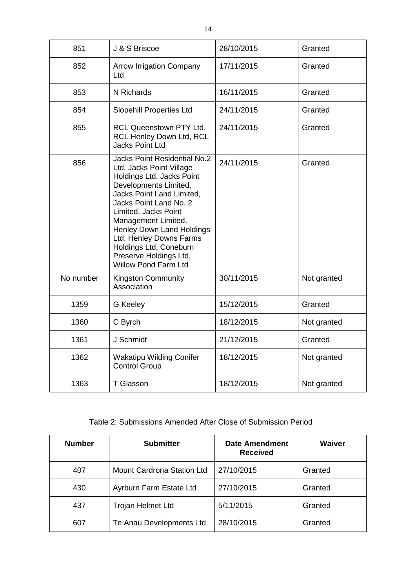| 851       | J & S Briscoe                                                                                                                                                                                                                                                                                                                                                   | 28/10/2015 | Granted     |
|-----------|-----------------------------------------------------------------------------------------------------------------------------------------------------------------------------------------------------------------------------------------------------------------------------------------------------------------------------------------------------------------|------------|-------------|
| 852       | <b>Arrow Irrigation Company</b><br>Ltd                                                                                                                                                                                                                                                                                                                          | 17/11/2015 | Granted     |
| 853       | N Richards                                                                                                                                                                                                                                                                                                                                                      | 16/11/2015 | Granted     |
| 854       | <b>Slopehill Properties Ltd</b>                                                                                                                                                                                                                                                                                                                                 | 24/11/2015 | Granted     |
| 855       | RCL Queenstown PTY Ltd,<br>RCL Henley Down Ltd, RCL<br><b>Jacks Point Ltd</b>                                                                                                                                                                                                                                                                                   | 24/11/2015 | Granted     |
| 856       | Jacks Point Residential No.2<br>Ltd, Jacks Point Village<br>Holdings Ltd, Jacks Point<br>Developments Limited,<br>Jacks Point Land Limited,<br>Jacks Point Land No. 2<br>Limited, Jacks Point<br>Management Limited,<br>Henley Down Land Holdings<br>Ltd, Henley Downs Farms<br>Holdings Ltd, Coneburn<br>Preserve Holdings Ltd,<br><b>Willow Pond Farm Ltd</b> | 24/11/2015 | Granted     |
| No number | <b>Kingston Community</b><br>Association                                                                                                                                                                                                                                                                                                                        | 30/11/2015 | Not granted |
| 1359      | G Keeley                                                                                                                                                                                                                                                                                                                                                        | 15/12/2015 | Granted     |
| 1360      | C Byrch                                                                                                                                                                                                                                                                                                                                                         | 18/12/2015 | Not granted |
| 1361      | J Schmidt                                                                                                                                                                                                                                                                                                                                                       | 21/12/2015 | Granted     |
| 1362      | <b>Wakatipu Wilding Conifer</b><br><b>Control Group</b>                                                                                                                                                                                                                                                                                                         | 18/12/2015 | Not granted |
| 1363      | <b>T</b> Glasson                                                                                                                                                                                                                                                                                                                                                | 18/12/2015 | Not granted |

# Table 2: Submissions Amended After Close of Submission Period

| <b>Number</b> | <b>Submitter</b>           | <b>Date Amendment</b><br><b>Received</b> | Waiver  |
|---------------|----------------------------|------------------------------------------|---------|
| 407           | Mount Cardrona Station Ltd | 27/10/2015                               | Granted |
| 430           | Ayrburn Farm Estate Ltd    | 27/10/2015                               | Granted |
| 437           | <b>Trojan Helmet Ltd</b>   | 5/11/2015                                | Granted |
| 607           | Te Anau Developments Ltd   | 28/10/2015                               | Granted |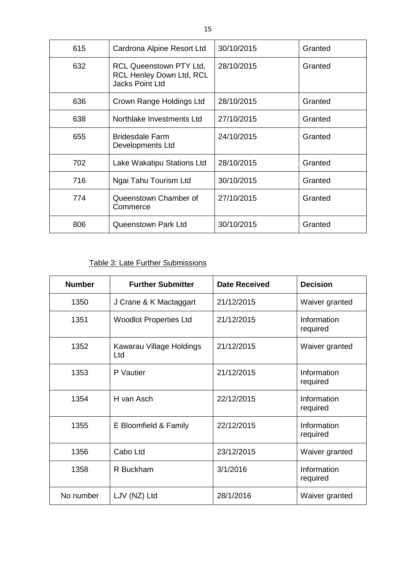| 615 | Cardrona Alpine Resort Ltd                                                                  | 30/10/2015 | Granted |
|-----|---------------------------------------------------------------------------------------------|------------|---------|
| 632 | <b>RCL Queenstown PTY Ltd.</b><br><b>RCL Henley Down Ltd, RCL</b><br><b>Jacks Point Ltd</b> | 28/10/2015 | Granted |
| 636 | Crown Range Holdings Ltd                                                                    | 28/10/2015 | Granted |
| 638 | Northlake Investments Ltd                                                                   | 27/10/2015 | Granted |
| 655 | <b>Bridesdale Farm</b><br>Developments Ltd                                                  | 24/10/2015 | Granted |
| 702 | Lake Wakatipu Stations Ltd                                                                  | 28/10/2015 | Granted |
| 716 | Ngai Tahu Tourism Ltd                                                                       | 30/10/2015 | Granted |
| 774 | Queenstown Chamber of<br>Commerce                                                           | 27/10/2015 | Granted |
| 806 | <b>Queenstown Park Ltd</b>                                                                  | 30/10/2015 | Granted |

## Table 3: Late Further Submissions

| <b>Number</b> | <b>Further Submitter</b>        | <b>Date Received</b> | <b>Decision</b>         |
|---------------|---------------------------------|----------------------|-------------------------|
| 1350          | J Crane & K Mactaggart          | 21/12/2015           | Waiver granted          |
| 1351          | <b>Woodlot Properties Ltd</b>   | 21/12/2015           | Information<br>required |
| 1352          | Kawarau Village Holdings<br>Ltd | 21/12/2015           | Waiver granted          |
| 1353          | P Vautier                       | 21/12/2015           | Information<br>required |
| 1354          | H van Asch                      | 22/12/2015           | Information<br>required |
| 1355          | E Bloomfield & Family           | 22/12/2015           | Information<br>required |
| 1356          | Cabo Ltd                        | 23/12/2015           | Waiver granted          |
| 1358          | R Buckham                       | 3/1/2016             | Information<br>required |
| No number     | LJV (NZ) Ltd                    | 28/1/2016            | Waiver granted          |